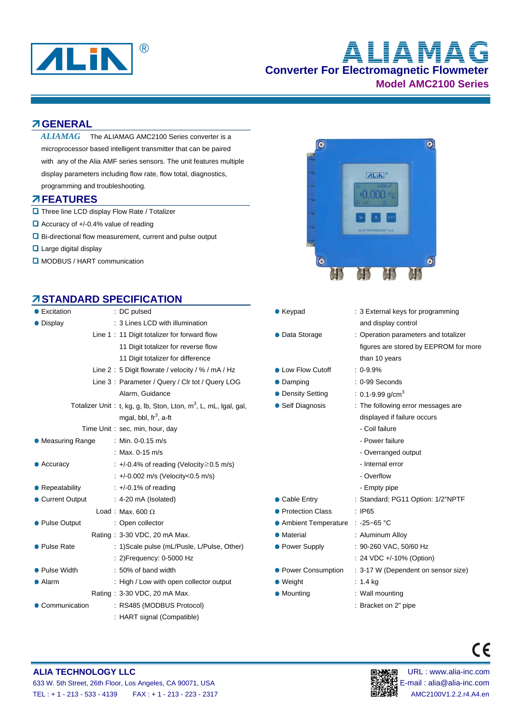

# **Converter For Electromagnetic Flowmeter Model AMC2100 Series ALIAMAG**

ALIN'

n nnn

 $\bullet$ 

**C** 

### **GENERAL**

The ALIAMAG AMC2100 Series converter is a microprocessor based intelligent transmitter that can be paired with any of the Alia AMF series sensors. The unit features multiple display parameters including flow rate, flow total, diagnostics, programming and troubleshooting. *ALIAMAG* 

#### **FEATURES**

- $\Box$  Three line LCD display Flow Rate / Totalizer
- $\Box$  Accuracy of +/-0.4% value of reading
- Bi-directional flow measurement, current and pulse output
- **Q** Large digital display
- **D** MODBUS / HART communication

# **STANDARD SPECIFICATION**

| • Excitation                 | : DC pulsed                                                                  | $\bullet$ Keypad                  | : 3 External keys for programming    |
|------------------------------|------------------------------------------------------------------------------|-----------------------------------|--------------------------------------|
| • Display                    | : 3 Lines LCD with illumination                                              |                                   | and display control                  |
|                              | Line 1: 11 Digit totalizer for forward flow                                  | • Data Storage                    | : Operation parameters and totalizer |
|                              | 11 Digit totalizer for reverse flow                                          |                                   | figures are stored by EEPROM for a   |
|                              | 11 Digit totalizer for difference                                            |                                   | than 10 years                        |
|                              | Line 2: 5 Digit flowrate / velocity / % / mA / Hz                            | • Low Flow Cutoff                 | $: 0.9.9\%$                          |
|                              | Line 3: Parameter / Query / Clr tot / Query LOG                              | • Damping                         | : 0-99 Seconds                       |
|                              | Alarm, Guidance                                                              | • Density Setting                 | : 0.1-9.99 g/cm <sup>3</sup>         |
|                              | Totalizer Unit: t, kg, g, lb, Ston, Lton, m <sup>3</sup> , L, mL, Igal, gal, | • Self Diagnosis                  | : The following error messages are   |
|                              | mgal, bbl, $\text{fr}^3$ , a-ft                                              |                                   | displayed if failure occurs          |
|                              | Time Unit: sec, min, hour, day                                               |                                   | - Coil failure                       |
| • Measuring Range            | : Min. 0-0.15 m/s                                                            |                                   | - Power failure                      |
|                              | : Max. $0-15$ m/s                                                            |                                   | - Overranged output                  |
| $\bullet$ Accuracy           | $\div$ +/-0.4% of reading (Velocity $\geq$ 0.5 m/s)                          |                                   | - Internal error                     |
|                              | : +/-0.002 m/s (Velocity<0.5 m/s)                                            |                                   | - Overflow                           |
| $\bullet$ Repeatability      | $\div$ +/-0.1% of reading                                                    |                                   | - Empty pipe                         |
| • Current Output             | $: 4-20 \text{ mA}$ (Isolated)                                               | • Cable Entry                     | : Standard: PG11 Option: 1/2"NPTF    |
|                              | Load: Max. 600 $\Omega$                                                      | • Protection Class                | : IP65                               |
| • Pulse Output               | : Open collector                                                             | ● Ambient Temperature : -25~65 °C |                                      |
|                              | Rating: 3-30 VDC, 20 mA Max.                                                 | • Material                        | : Aluminum Alloy                     |
| • Pulse Rate                 | : 1) Scale pulse (mL/Pusle, L/Pulse, Other)                                  | • Power Supply                    | : 90-260 VAC, 50/60 Hz               |
|                              | : 2) Frequency: 0-5000 Hz                                                    |                                   | : 24 VDC +/-10% (Option)             |
| • Pulse Width                | : 50% of band width                                                          | • Power Consumption               | : 3-17 W (Dependent on sensor size)  |
| • Alarm                      | : High / Low with open collector output                                      | $\bullet$ Weight                  | $: 1.4$ kg                           |
| Rating: 3-30 VDC, 20 mA Max. |                                                                              | • Mounting                        | : Wall mounting                      |
| • Communication              | : RS485 (MODBUS Protocol)                                                    |                                   | : Bracket on 2" pipe                 |
|                              | : HART signal (Compatible)                                                   |                                   |                                      |



 $\odot$ 

- 
- **FPROM for more**
- ssages are

 $\epsilon$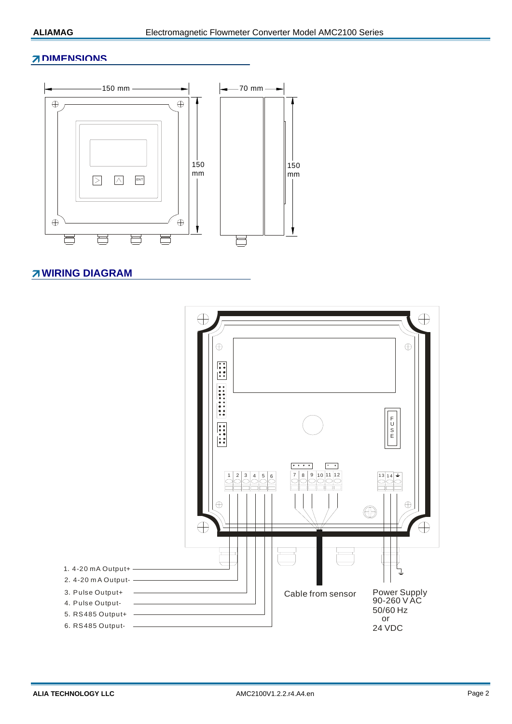#### **7 DIMENSIONS**



#### **7 WIRING DIAGRAM**

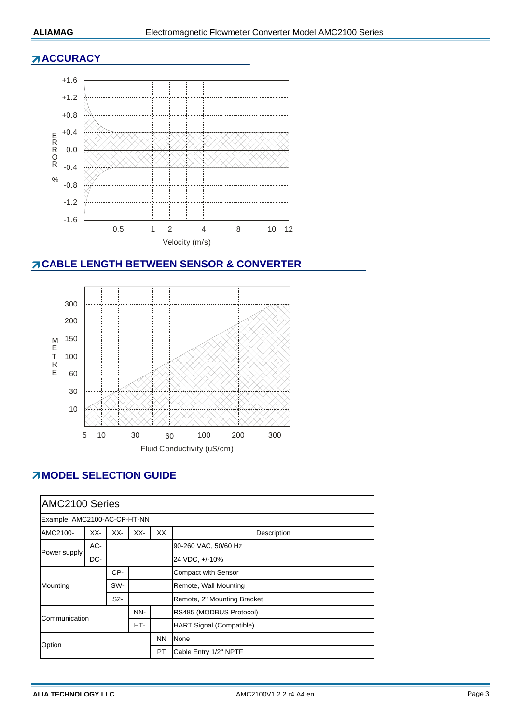### **ACCURACY**



# **CABLE LENGTH BETWEEN SENSOR & CONVERTER**



# **MODEL SELECTION GUIDE**

| AMC2100 Series               |     |     |     |                                 |                             |  |
|------------------------------|-----|-----|-----|---------------------------------|-----------------------------|--|
| Example: AMC2100-AC-CP-HT-NN |     |     |     |                                 |                             |  |
| AMC2100-                     | XX- | XX- | XX- | XX                              | Description                 |  |
| Power supply                 | AC- |     |     |                                 | 90-260 VAC, 50/60 Hz        |  |
|                              | DC- |     |     |                                 | 24 VDC, +/-10%              |  |
| Mounting                     |     | CP- |     |                                 | <b>Compact with Sensor</b>  |  |
|                              |     | SW- |     |                                 | Remote, Wall Mounting       |  |
|                              |     | S2- |     |                                 | Remote, 2" Mounting Bracket |  |
| Communication                |     | NN- |     | RS485 (MODBUS Protocol)         |                             |  |
|                              |     | HT- |     | <b>HART Signal (Compatible)</b> |                             |  |
| Option                       |     |     |     | <b>NN</b>                       | None                        |  |
|                              |     |     |     | PT                              | Cable Entry 1/2" NPTF       |  |